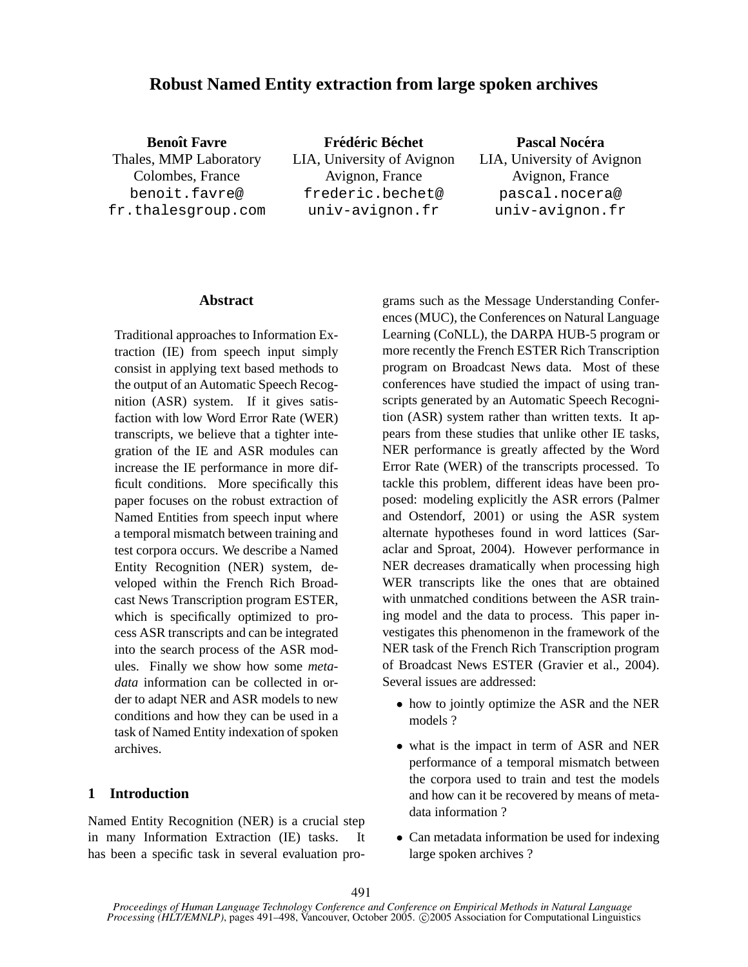# **Robust Named Entity extraction from large spoken archives**

**Benoît Favre** Thales, MMP Laboratory Colombes, France benoit.favre@ fr.thalesgroup.com

 $F$  **rédéric Béchet** LIA, University of Avignon Avignon, France frederic.bechet@ univ-avignon.fr

**Pascal Nocera ´** LIA, University of Avignon Avignon, France pascal.nocera@ univ-avignon.fr

#### **Abstract**

Traditional approaches to Information Extraction (IE) from speech input simply consist in applying text based methods to the output of an Automatic Speech Recognition (ASR) system. If it gives satisfaction with low Word Error Rate (WER) transcripts, we believe that a tighter integration of the IE and ASR modules can increase the IE performance in more difficult conditions. More specifically this paper focuses on the robust extraction of Named Entities from speech input where a temporal mismatch between training and test corpora occurs. We describe a Named Entity Recognition (NER) system, developed within the French Rich Broadcast News Transcription program ESTER, which is specifically optimized to process ASR transcripts and can be integrated into the search process of the ASR modules. Finally we show how some *metadata* information can be collected in order to adapt NER and ASR models to new conditions and how they can be used in a task of Named Entity indexation of spoken archives.

### **1 Introduction**

Named Entity Recognition (NER) is a crucial step in many Information Extraction (IE) tasks. It has been a specific task in several evaluation programs such as the Message Understanding Conferences (MUC), the Conferences on Natural Language Learning (CoNLL), the DARPA HUB-5 program or more recently the French ESTER Rich Transcription program on Broadcast News data. Most of these conferences have studied the impact of using transcripts generated by an Automatic Speech Recognition (ASR) system rather than written texts. It appears from these studies that unlike other IE tasks, NER performance is greatly affected by the Word Error Rate (WER) of the transcripts processed. To tackle this problem, different ideas have been proposed: modeling explicitly the ASR errors (Palmer and Ostendorf, 2001) or using the ASR system alternate hypotheses found in word lattices (Saraclar and Sproat, 2004). However performance in NER decreases dramatically when processing high WER transcripts like the ones that are obtained with unmatched conditions between the ASR training model and the data to process. This paper investigates this phenomenon in the framework of the NER task of the French Rich Transcription program of Broadcast News ESTER (Gravier et al., 2004). Several issues are addressed:

- how to jointly optimize the ASR and the NER models ?
- what is the impact in term of ASR and NER performance of a temporal mismatch between the corpora used to train and test the models and how can it be recovered by means of metadata information ?
- Can metadata information be used for indexing large spoken archives ?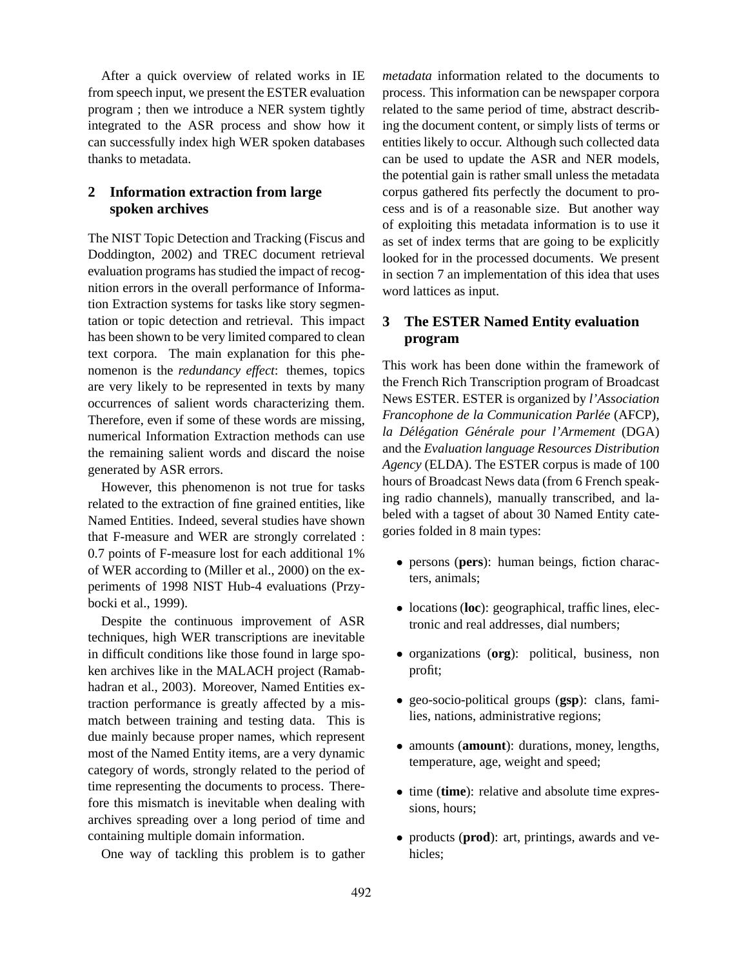After a quick overview of related works in IE from speech input, we present the ESTER evaluation program ; then we introduce a NER system tightly integrated to the ASR process and show how it can successfully index high WER spoken databases thanks to metadata.

## **2 Information extraction from large spoken archives**

The NIST Topic Detection and Tracking (Fiscus and Doddington, 2002) and TREC document retrieval evaluation programs has studied the impact of recognition errors in the overall performance of Information Extraction systems for tasks like story segmentation or topic detection and retrieval. This impact has been shown to be very limited compared to clean text corpora. The main explanation for this phenomenon is the *redundancy effect*: themes, topics are very likely to be represented in texts by many occurrences of salient words characterizing them. Therefore, even if some of these words are missing, numerical Information Extraction methods can use the remaining salient words and discard the noise generated by ASR errors.

However, this phenomenon is not true for tasks related to the extraction of fine grained entities, like Named Entities. Indeed, several studies have shown that F-measure and WER are strongly correlated : 0.7 points of F-measure lost for each additional 1% of WER according to (Miller et al., 2000) on the experiments of 1998 NIST Hub-4 evaluations (Przybocki et al., 1999).

Despite the continuous improvement of ASR techniques, high WER transcriptions are inevitable in difficult conditions like those found in large spoken archives like in the MALACH project (Ramabhadran et al., 2003). Moreover, Named Entities extraction performance is greatly affected by a mismatch between training and testing data. This is due mainly because proper names, which represent most of the Named Entity items, are a very dynamic category of words, strongly related to the period of time representing the documents to process. Therefore this mismatch is inevitable when dealing with archives spreading over a long period of time and containing multiple domain information.

One way of tackling this problem is to gather

*metadata* information related to the documents to process. This information can be newspaper corpora related to the same period of time, abstract describing the document content, or simply lists of terms or entities likely to occur. Although such collected data can be used to update the ASR and NER models, the potential gain is rather small unless the metadata corpus gathered fits perfectly the document to process and is of a reasonable size. But another way of exploiting this metadata information is to use it as set of index terms that are going to be explicitly looked for in the processed documents. We present in section 7 an implementation of this idea that uses word lattices as input.

# **3 The ESTER Named Entity evaluation program**

This work has been done within the framework of the French Rich Transcription program of Broadcast News ESTER. ESTER is organized by *l'Association Francophone de la Communication Parlee´* (AFCP), *la Del´ egation G ´ en´ erale pour l'Armement ´* (DGA) and the *Evaluation language Resources Distribution Agency* (ELDA). The ESTER corpus is made of 100 hours of Broadcast News data (from 6 French speaking radio channels), manually transcribed, and labeled with a tagset of about 30 Named Entity categories folded in 8 main types:

- persons (**pers**): human beings, fiction characters, animals;
- locations (**loc**): geographical, traffic lines, electronic and real addresses, dial numbers;
- organizations (**org**): political, business, non profit;
- geo-socio-political groups (**gsp**): clans, families, nations, administrative regions;
- amounts (**amount**): durations, money, lengths, temperature, age, weight and speed;
- time (**time**): relative and absolute time expressions, hours;
- products (**prod**): art, printings, awards and vehicles;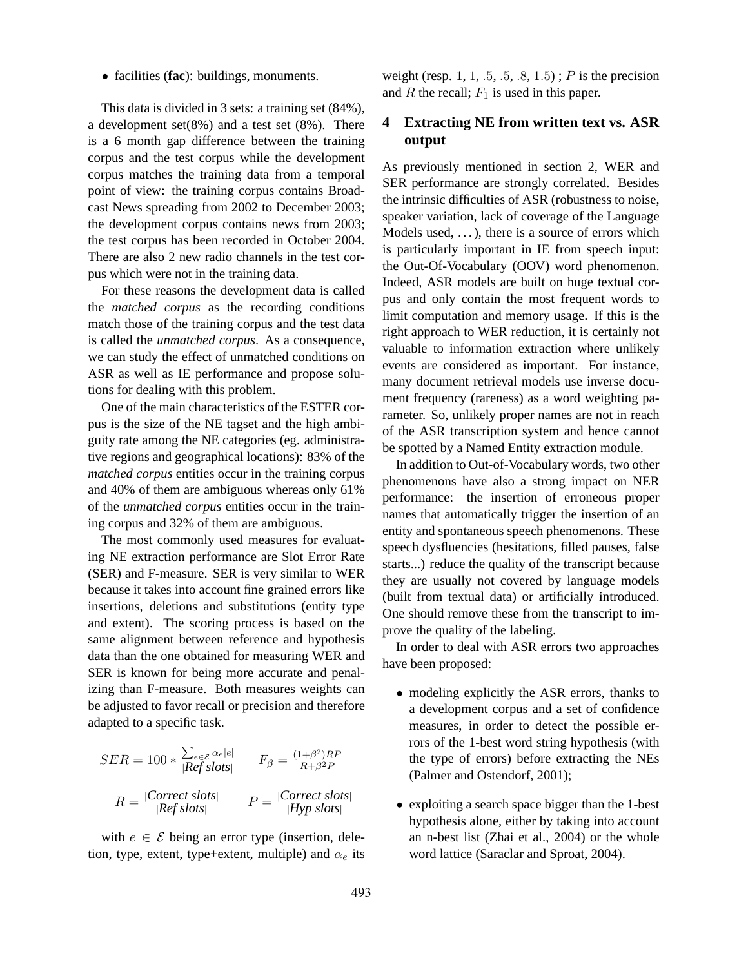• facilities (**fac**): buildings, monuments.

This data is divided in 3 sets: a training set (84%), a development set(8%) and a test set (8%). There is a 6 month gap difference between the training corpus and the test corpus while the development corpus matches the training data from a temporal point of view: the training corpus contains Broadcast News spreading from 2002 to December 2003; the development corpus contains news from 2003; the test corpus has been recorded in October 2004. There are also 2 new radio channels in the test corpus which were not in the training data.

For these reasons the development data is called the *matched corpus* as the recording conditions match those of the training corpus and the test data is called the *unmatched corpus*. As a consequence, we can study the effect of unmatched conditions on ASR as well as IE performance and propose solutions for dealing with this problem.

One of the main characteristics of the ESTER corpus is the size of the NE tagset and the high ambiguity rate among the NE categories (eg. administrative regions and geographical locations): 83% of the *matched corpus* entities occur in the training corpus and 40% of them are ambiguous whereas only 61% of the *unmatched corpus* entities occur in the training corpus and 32% of them are ambiguous.

The most commonly used measures for evaluating NE extraction performance are Slot Error Rate (SER) and F-measure. SER is very similar to WER because it takes into account fine grained errors like insertions, deletions and substitutions (entity type and extent). The scoring process is based on the same alignment between reference and hypothesis data than the one obtained for measuring WER and SER is known for being more accurate and penalizing than F-measure. Both measures weights can be adjusted to favor recall or precision and therefore adapted to a specific task.

$$
SER = 100 * \frac{\sum_{e \in \mathcal{E}} \alpha_e |e|}{|Ref \, slots|} \qquad F_{\beta} = \frac{(1+\beta^2)RP}{R + \beta^2 P}
$$

$$
R = \frac{|Correct \, slots|}{|Ref \, slots|} \qquad P = \frac{|Correct \, slots|}{|Hyp \, slots|}
$$

with  $e \in \mathcal{E}$  being an error type (insertion, deletion, type, extent, type+extent, multiple) and  $\alpha_e$  its weight (resp. 1, 1, .5, .5, .8, 1.5);  $P$  is the precision and R the recall;  $F_1$  is used in this paper.

# **4 Extracting NE from written text vs. ASR output**

As previously mentioned in section 2, WER and SER performance are strongly correlated. Besides the intrinsic difficulties of ASR (robustness to noise, speaker variation, lack of coverage of the Language Models used,  $\dots$ ), there is a source of errors which is particularly important in IE from speech input: the Out-Of-Vocabulary (OOV) word phenomenon. Indeed, ASR models are built on huge textual corpus and only contain the most frequent words to limit computation and memory usage. If this is the right approach to WER reduction, it is certainly not valuable to information extraction where unlikely events are considered as important. For instance, many document retrieval models use inverse document frequency (rareness) as a word weighting parameter. So, unlikely proper names are not in reach of the ASR transcription system and hence cannot be spotted by a Named Entity extraction module.

In addition to Out-of-Vocabulary words, two other phenomenons have also a strong impact on NER performance: the insertion of erroneous proper names that automatically trigger the insertion of an entity and spontaneous speech phenomenons. These speech dysfluencies (hesitations, filled pauses, false starts...) reduce the quality of the transcript because they are usually not covered by language models (built from textual data) or artificially introduced. One should remove these from the transcript to improve the quality of the labeling.

In order to deal with ASR errors two approaches have been proposed:

- modeling explicitly the ASR errors, thanks to a development corpus and a set of confidence measures, in order to detect the possible errors of the 1-best word string hypothesis (with the type of errors) before extracting the NEs (Palmer and Ostendorf, 2001);
- exploiting a search space bigger than the 1-best hypothesis alone, either by taking into account an n-best list (Zhai et al., 2004) or the whole word lattice (Saraclar and Sproat, 2004).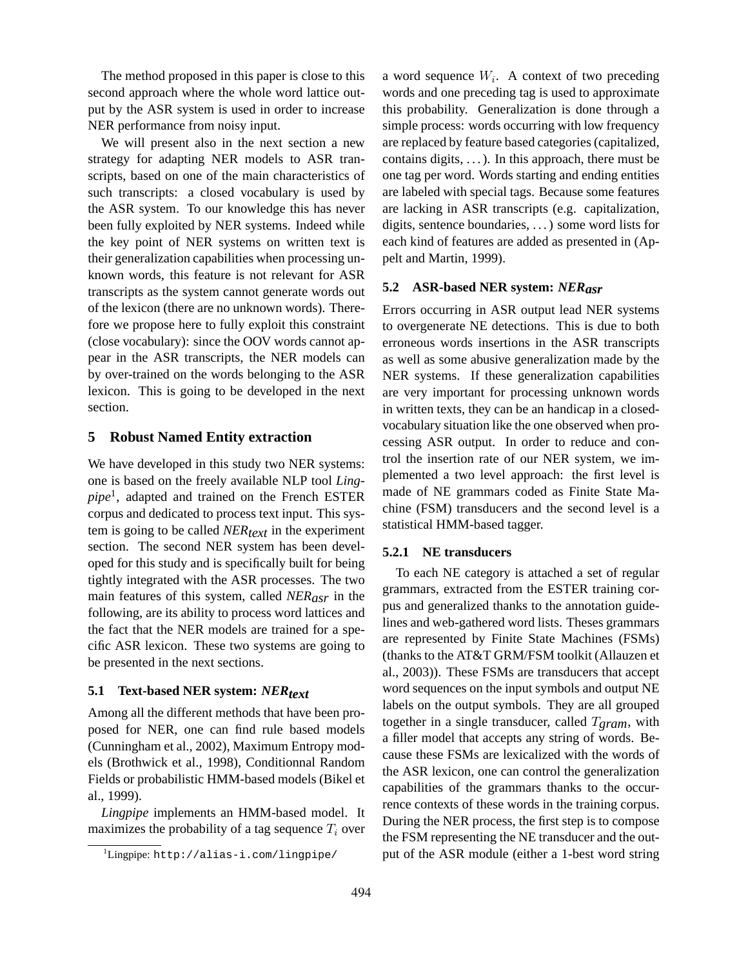The method proposed in this paper is close to this second approach where the whole word lattice output by the ASR system is used in order to increase NER performance from noisy input.

We will present also in the next section a new strategy for adapting NER models to ASR transcripts, based on one of the main characteristics of such transcripts: a closed vocabulary is used by the ASR system. To our knowledge this has never been fully exploited by NER systems. Indeed while the key point of NER systems on written text is their generalization capabilities when processing unknown words, this feature is not relevant for ASR transcripts as the system cannot generate words out of the lexicon (there are no unknown words). Therefore we propose here to fully exploit this constraint (close vocabulary): since the OOV words cannot appear in the ASR transcripts, the NER models can by over-trained on the words belonging to the ASR lexicon. This is going to be developed in the next section.

#### **5 Robust Named Entity extraction**

We have developed in this study two NER systems: one is based on the freely available NLP tool *Lingpipe*<sup>1</sup> , adapted and trained on the French ESTER corpus and dedicated to process text input. This system is going to be called  $NER_{text}$  in the experiment section. The second NER system has been developed for this study and is specifically built for being tightly integrated with the ASR processes. The two main features of this system, called *NERasr* in the following, are its ability to process word lattices and the fact that the NER models are trained for a specific ASR lexicon. These two systems are going to be presented in the next sections.

### **5.1 Text-based NER system:** *NER*<sub>text</sub>

Among all the different methods that have been proposed for NER, one can find rule based models (Cunningham et al., 2002), Maximum Entropy models (Brothwick et al., 1998), Conditionnal Random Fields or probabilistic HMM-based models (Bikel et al., 1999).

*Lingpipe* implements an HMM-based model. It maximizes the probability of a tag sequence  $T_i$  over

a word sequence  $W_i$ . A context of two preceding words and one preceding tag is used to approximate this probability. Generalization is done through a simple process: words occurring with low frequency are replaced by feature based categories (capitalized, contains digits,  $\dots$ ). In this approach, there must be one tag per word. Words starting and ending entities are labeled with special tags. Because some features are lacking in ASR transcripts (e.g. capitalization, digits, sentence boundaries, . . . ) some word lists for each kind of features are added as presented in (Appelt and Martin, 1999).

#### **5.2 ASR-based NER system:** *NERasr*

Errors occurring in ASR output lead NER systems to overgenerate NE detections. This is due to both erroneous words insertions in the ASR transcripts as well as some abusive generalization made by the NER systems. If these generalization capabilities are very important for processing unknown words in written texts, they can be an handicap in a closedvocabulary situation like the one observed when processing ASR output. In order to reduce and control the insertion rate of our NER system, we implemented a two level approach: the first level is made of NE grammars coded as Finite State Machine (FSM) transducers and the second level is a statistical HMM-based tagger.

#### **5.2.1 NE transducers**

To each NE category is attached a set of regular grammars, extracted from the ESTER training corpus and generalized thanks to the annotation guidelines and web-gathered word lists. Theses grammars are represented by Finite State Machines (FSMs) (thanks to the AT&T GRM/FSM toolkit (Allauzen et al., 2003)). These FSMs are transducers that accept word sequences on the input symbols and output NE labels on the output symbols. They are all grouped together in a single transducer, called T*gram*, with a filler model that accepts any string of words. Because these FSMs are lexicalized with the words of the ASR lexicon, one can control the generalization capabilities of the grammars thanks to the occurrence contexts of these words in the training corpus. During the NER process, the first step is to compose the FSM representing the NE transducer and the output of the ASR module (either a 1-best word string

 ${}^{1}$ Lingpipe: http://alias-i.com/lingpipe/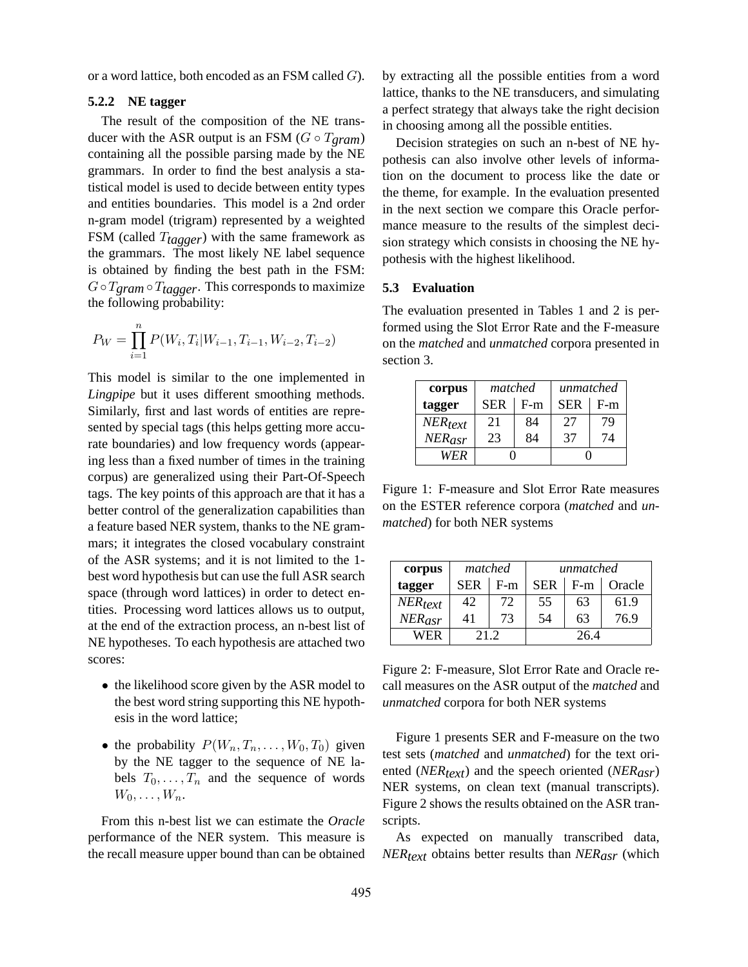or a word lattice, both encoded as an FSM called G).

#### **5.2.2 NE tagger**

The result of the composition of the NE transducer with the ASR output is an FSM  $(G \circ T_{\text{gram}})$ containing all the possible parsing made by the NE grammars. In order to find the best analysis a statistical model is used to decide between entity types and entities boundaries. This model is a 2nd order n-gram model (trigram) represented by a weighted FSM (called T*tagger*) with the same framework as the grammars. The most likely NE label sequence is obtained by finding the best path in the FSM:  $G \circ T_{\text{gram}} \circ T_{\text{tagger}}$ . This corresponds to maximize the following probability:

$$
P_W = \prod_{i=1}^{n} P(W_i, T_i | W_{i-1}, T_{i-1}, W_{i-2}, T_{i-2})
$$

This model is similar to the one implemented in *Lingpipe* but it uses different smoothing methods. Similarly, first and last words of entities are represented by special tags (this helps getting more accurate boundaries) and low frequency words (appearing less than a fixed number of times in the training corpus) are generalized using their Part-Of-Speech tags. The key points of this approach are that it has a better control of the generalization capabilities than a feature based NER system, thanks to the NE grammars; it integrates the closed vocabulary constraint of the ASR systems; and it is not limited to the 1 best word hypothesis but can use the full ASR search space (through word lattices) in order to detect entities. Processing word lattices allows us to output, at the end of the extraction process, an n-best list of NE hypotheses. To each hypothesis are attached two scores:

- the likelihood score given by the ASR model to the best word string supporting this NE hypothesis in the word lattice;
- the probability  $P(W_n, T_n, \ldots, W_0, T_0)$  given by the NE tagger to the sequence of NE labels  $T_0, \ldots, T_n$  and the sequence of words  $W_0, \ldots, W_n$ .

From this n-best list we can estimate the *Oracle* performance of the NER system. This measure is the recall measure upper bound than can be obtained by extracting all the possible entities from a word lattice, thanks to the NE transducers, and simulating a perfect strategy that always take the right decision in choosing among all the possible entities.

Decision strategies on such an n-best of NE hypothesis can also involve other levels of information on the document to process like the date or the theme, for example. In the evaluation presented in the next section we compare this Oracle performance measure to the results of the simplest decision strategy which consists in choosing the NE hypothesis with the highest likelihood.

#### **5.3 Evaluation**

The evaluation presented in Tables 1 and 2 is performed using the Slot Error Rate and the F-measure on the *matched* and *unmatched* corpora presented in section 3.

| corpus       | matched    |       | unmatched  |       |  |
|--------------|------------|-------|------------|-------|--|
| tagger       | <b>SER</b> | $F-m$ | <b>SER</b> | $F-m$ |  |
| $NER_{text}$ | 21         | 84    | 27         | 79    |  |
| $NER_{asr}$  | 23         | 84    | 37         | 74    |  |
| WER          |            |       |            |       |  |

Figure 1: F-measure and Slot Error Rate measures on the ESTER reference corpora (*matched* and *unmatched*) for both NER systems

| corpus       | matched    |       | unmatched  |       |        |
|--------------|------------|-------|------------|-------|--------|
| tagger       | <b>SER</b> | $F-m$ | <b>SER</b> | $F-m$ | Oracle |
| $NER_{text}$ | 42         | 72    | 55         | 63    | 61.9   |
| $NER_{asr}$  | 41         | 73    | 54         | 63    | 76.9   |
| WER          | 21.2       |       | 264        |       |        |

Figure 2: F-measure, Slot Error Rate and Oracle recall measures on the ASR output of the *matched* and *unmatched* corpora for both NER systems

Figure 1 presents SER and F-measure on the two test sets (*matched* and *unmatched*) for the text oriented (*NER<sub>text</sub>*) and the speech oriented (*NER<sub>asr</sub>*) NER systems, on clean text (manual transcripts). Figure 2 shows the results obtained on the ASR transcripts.

As expected on manually transcribed data, *NER<sub>text</sub>* obtains better results than *NER<sub>asr</sub>* (which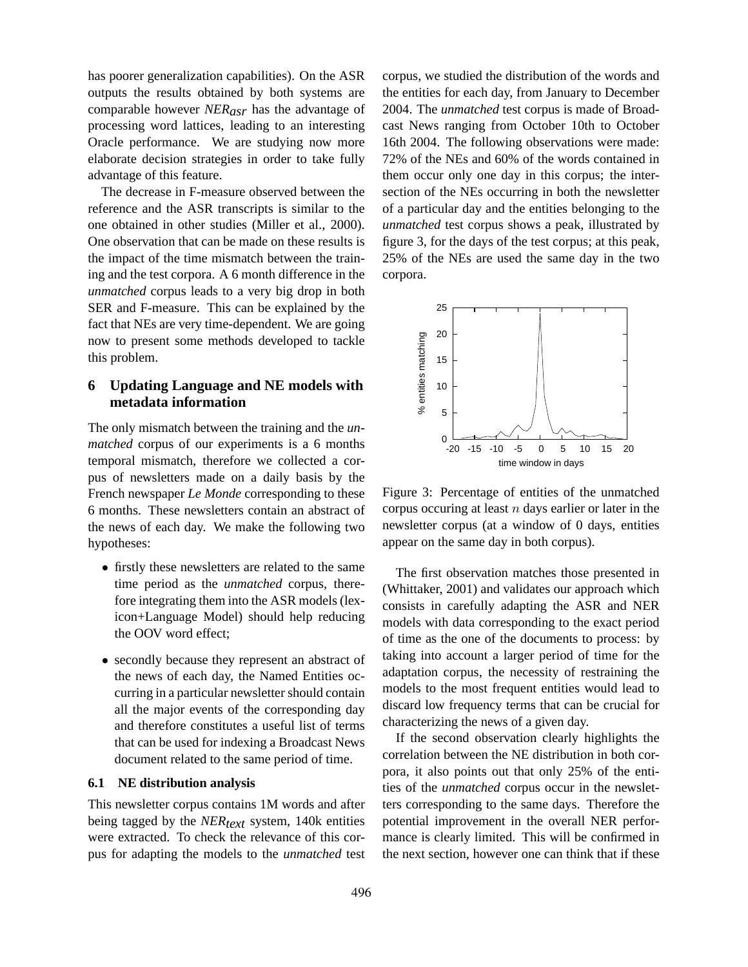has poorer generalization capabilities). On the ASR outputs the results obtained by both systems are comparable however *NERasr* has the advantage of processing word lattices, leading to an interesting Oracle performance. We are studying now more elaborate decision strategies in order to take fully advantage of this feature.

The decrease in F-measure observed between the reference and the ASR transcripts is similar to the one obtained in other studies (Miller et al., 2000). One observation that can be made on these results is the impact of the time mismatch between the training and the test corpora. A 6 month difference in the *unmatched* corpus leads to a very big drop in both SER and F-measure. This can be explained by the fact that NEs are very time-dependent. We are going now to present some methods developed to tackle this problem.

# **6 Updating Language and NE models with metadata information**

The only mismatch between the training and the *unmatched* corpus of our experiments is a 6 months temporal mismatch, therefore we collected a corpus of newsletters made on a daily basis by the French newspaper *Le Monde* corresponding to these 6 months. These newsletters contain an abstract of the news of each day. We make the following two hypotheses:

- firstly these newsletters are related to the same time period as the *unmatched* corpus, therefore integrating them into the ASR models (lexicon+Language Model) should help reducing the OOV word effect;
- secondly because they represent an abstract of the news of each day, the Named Entities occurring in a particular newsletter should contain all the major events of the corresponding day and therefore constitutes a useful list of terms that can be used for indexing a Broadcast News document related to the same period of time.

#### **6.1 NE distribution analysis**

This newsletter corpus contains 1M words and after being tagged by the *NER<sub>text</sub>* system, 140k entities were extracted. To check the relevance of this corpus for adapting the models to the *unmatched* test

corpus, we studied the distribution of the words and the entities for each day, from January to December 2004. The *unmatched* test corpus is made of Broadcast News ranging from October 10th to October 16th 2004. The following observations were made: 72% of the NEs and 60% of the words contained in them occur only one day in this corpus; the intersection of the NEs occurring in both the newsletter of a particular day and the entities belonging to the *unmatched* test corpus shows a peak, illustrated by figure 3, for the days of the test corpus; at this peak, 25% of the NEs are used the same day in the two corpora.



Figure 3: Percentage of entities of the unmatched corpus occuring at least  $n$  days earlier or later in the newsletter corpus (at a window of 0 days, entities appear on the same day in both corpus).

The first observation matches those presented in (Whittaker, 2001) and validates our approach which consists in carefully adapting the ASR and NER models with data corresponding to the exact period of time as the one of the documents to process: by taking into account a larger period of time for the adaptation corpus, the necessity of restraining the models to the most frequent entities would lead to discard low frequency terms that can be crucial for characterizing the news of a given day.

If the second observation clearly highlights the correlation between the NE distribution in both corpora, it also points out that only 25% of the entities of the *unmatched* corpus occur in the newsletters corresponding to the same days. Therefore the potential improvement in the overall NER performance is clearly limited. This will be confirmed in the next section, however one can think that if these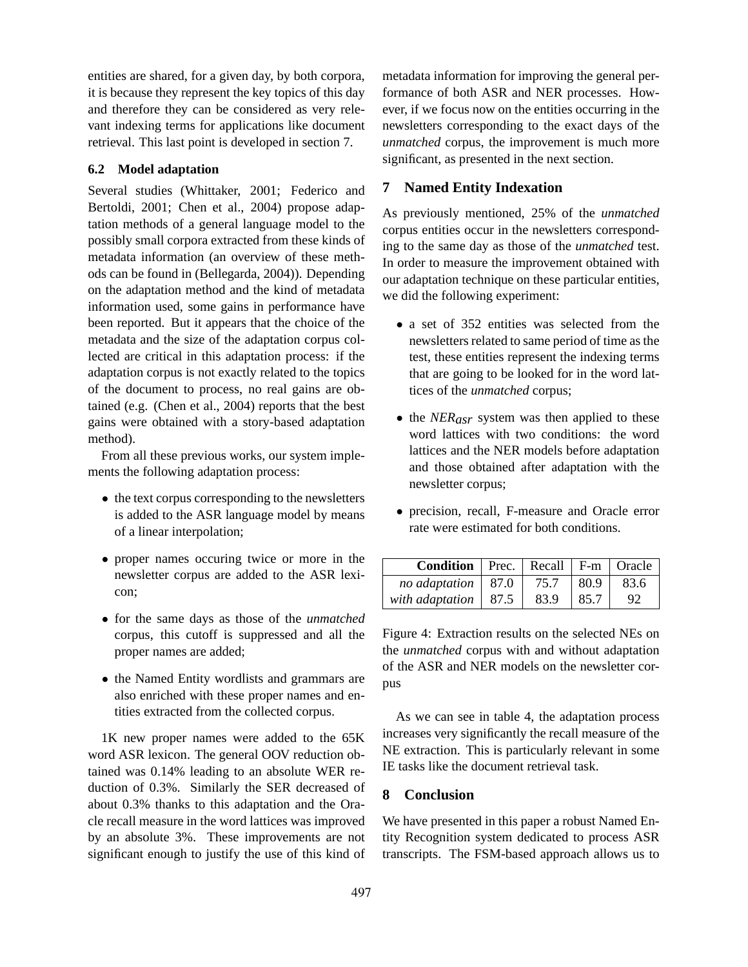entities are shared, for a given day, by both corpora, it is because they represent the key topics of this day and therefore they can be considered as very relevant indexing terms for applications like document retrieval. This last point is developed in section 7.

#### **6.2 Model adaptation**

Several studies (Whittaker, 2001; Federico and Bertoldi, 2001; Chen et al., 2004) propose adaptation methods of a general language model to the possibly small corpora extracted from these kinds of metadata information (an overview of these methods can be found in (Bellegarda, 2004)). Depending on the adaptation method and the kind of metadata information used, some gains in performance have been reported. But it appears that the choice of the metadata and the size of the adaptation corpus collected are critical in this adaptation process: if the adaptation corpus is not exactly related to the topics of the document to process, no real gains are obtained (e.g. (Chen et al., 2004) reports that the best gains were obtained with a story-based adaptation method).

From all these previous works, our system implements the following adaptation process:

- the text corpus corresponding to the newsletters is added to the ASR language model by means of a linear interpolation;
- proper names occuring twice or more in the newsletter corpus are added to the ASR lexicon;
- for the same days as those of the *unmatched* corpus, this cutoff is suppressed and all the proper names are added;
- the Named Entity wordlists and grammars are also enriched with these proper names and entities extracted from the collected corpus.

1K new proper names were added to the 65K word ASR lexicon. The general OOV reduction obtained was 0.14% leading to an absolute WER reduction of 0.3%. Similarly the SER decreased of about 0.3% thanks to this adaptation and the Oracle recall measure in the word lattices was improved by an absolute 3%. These improvements are not significant enough to justify the use of this kind of metadata information for improving the general performance of both ASR and NER processes. However, if we focus now on the entities occurring in the newsletters corresponding to the exact days of the *unmatched* corpus, the improvement is much more significant, as presented in the next section.

### **7 Named Entity Indexation**

As previously mentioned, 25% of the *unmatched* corpus entities occur in the newsletters corresponding to the same day as those of the *unmatched* test. In order to measure the improvement obtained with our adaptation technique on these particular entities, we did the following experiment:

- a set of 352 entities was selected from the newsletters related to same period of time as the test, these entities represent the indexing terms that are going to be looked for in the word lattices of the *unmatched* corpus;
- the *NER<sub>asr</sub>* system was then applied to these word lattices with two conditions: the word lattices and the NER models before adaptation and those obtained after adaptation with the newsletter corpus;
- precision, recall, F-measure and Oracle error rate were estimated for both conditions.

| <b>Condition</b>   Prec.   Recall   F-m   Oracle |      |      |      |
|--------------------------------------------------|------|------|------|
| no adaptation   $87.0$                           | 75.7 | 80.9 | 83.6 |
| with adaptation   $87.5$                         | 83.9 | 85.7 |      |

Figure 4: Extraction results on the selected NEs on the *unmatched* corpus with and without adaptation of the ASR and NER models on the newsletter corpus

As we can see in table 4, the adaptation process increases very significantly the recall measure of the NE extraction. This is particularly relevant in some IE tasks like the document retrieval task.

### **8 Conclusion**

We have presented in this paper a robust Named Entity Recognition system dedicated to process ASR transcripts. The FSM-based approach allows us to